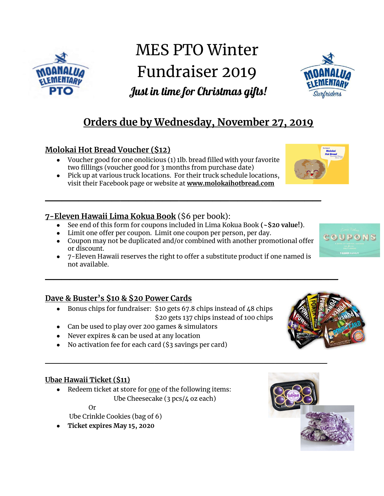

# MES PTO Winter Fundraiser 2019 Just in time for Christmas gifts!



## **Orders due by Wednesday, November 27, 2019**

#### **Molokai Hot Bread Voucher (\$12)**

- Voucher good for one onolicious (1) 1lb. bread filled with your favorite two fillings (voucher good for 3 months from purchase date)
- Pick up at various truck locations. For their truck schedule locations, visit their Facebook page or website at **www.molokaihotbread.com**

#### **7-Eleven Hawaii Lima Kokua Book** (̥6 per book):

● See end of this form for coupons included in Lima Kokua Book **(~\$20 value!)**.

**\_\_\_\_\_\_\_\_\_\_\_\_\_\_\_\_\_\_\_\_\_\_\_\_\_\_\_\_\_\_\_\_\_** 

- Limit one offer per coupon. Limit one coupon per person, per day.
- Coupon may not be duplicated and/or combined with another promotional offer or discount.
- 7-Eleven Hawaii reserves the right to offer a substitute product if one named is not available.

#### **Dave & Buster's \$10 & \$20 Power Cards**

- Bonus chips for fundraiser:  $$10$  gets 67.8 chips instead of 48 chips ̥20 gets 137 chips instead of 100 chips
- Can be used to play over 200 games & simulators
- Never expires & can be used at any location
- No activation fee for each card (\$3 savings per card)

#### **Ubae Hawaii Ticket (\$11)**

• Redeem ticket at store for one of the following items: Ube Cheesecake (3 pcs/4 oz each)

Or

Ube Crinkle Cookies (bag of 6)

● **Ticket expires May 15, 2020**